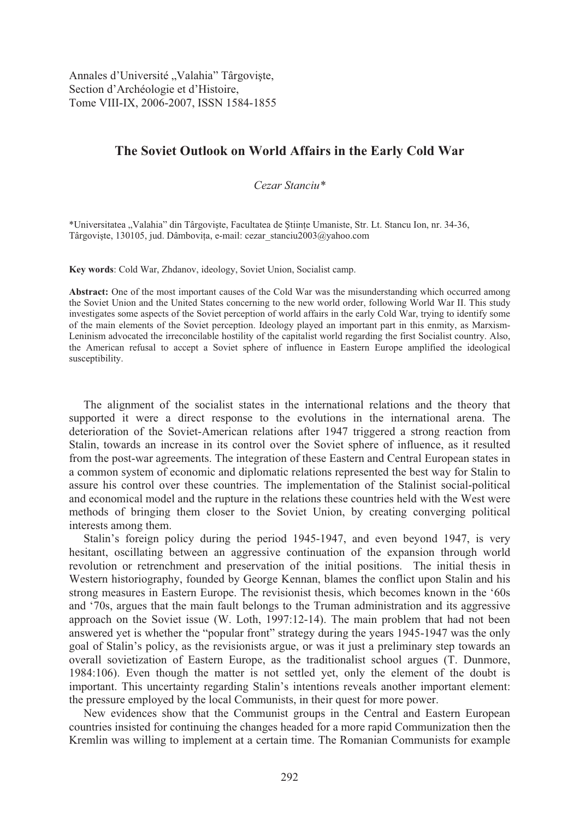Annales d'Université "Valahia" Târgoviște, Section d'Archéologie et d'Histoire, Tome VIII-IX, 2006-2007, ISSN 1584-1855

# **The Soviet Outlook on World Affairs in the Early Cold War**

*Cezar Stanciu\** 

\*Universitatea "Valahia" din Târgoviste, Facultatea de Stiinte Umaniste, Str. Lt. Stancu Ion, nr. 34-36, Târgoviște, 130105, jud. Dâmbovița, e-mail: cezar stanciu2003@yahoo.com

**Key words**: Cold War, Zhdanov, ideology, Soviet Union, Socialist camp.

**Abstract:** One of the most important causes of the Cold War was the misunderstanding which occurred among the Soviet Union and the United States concerning to the new world order, following World War II. This study investigates some aspects of the Soviet perception of world affairs in the early Cold War, trying to identify some of the main elements of the Soviet perception. Ideology played an important part in this enmity, as Marxism-Leninism advocated the irreconcilable hostility of the capitalist world regarding the first Socialist country. Also, the American refusal to accept a Soviet sphere of influence in Eastern Europe amplified the ideological susceptibility.

 The alignment of the socialist states in the international relations and the theory that supported it were a direct response to the evolutions in the international arena. The deterioration of the Soviet-American relations after 1947 triggered a strong reaction from Stalin, towards an increase in its control over the Soviet sphere of influence, as it resulted from the post-war agreements. The integration of these Eastern and Central European states in a common system of economic and diplomatic relations represented the best way for Stalin to assure his control over these countries. The implementation of the Stalinist social-political and economical model and the rupture in the relations these countries held with the West were methods of bringing them closer to the Soviet Union, by creating converging political interests among them.

 Stalin's foreign policy during the period 1945-1947, and even beyond 1947, is very hesitant, oscillating between an aggressive continuation of the expansion through world revolution or retrenchment and preservation of the initial positions. The initial thesis in Western historiography, founded by George Kennan, blames the conflict upon Stalin and his strong measures in Eastern Europe. The revisionist thesis, which becomes known in the '60s and '70s, argues that the main fault belongs to the Truman administration and its aggressive approach on the Soviet issue (W. Loth, 1997:12-14). The main problem that had not been answered yet is whether the "popular front" strategy during the years 1945-1947 was the only goal of Stalin's policy, as the revisionists argue, or was it just a preliminary step towards an overall sovietization of Eastern Europe, as the traditionalist school argues (T. Dunmore, 1984:106). Even though the matter is not settled yet, only the element of the doubt is important. This uncertainty regarding Stalin's intentions reveals another important element: the pressure employed by the local Communists, in their quest for more power.

 New evidences show that the Communist groups in the Central and Eastern European countries insisted for continuing the changes headed for a more rapid Communization then the Kremlin was willing to implement at a certain time. The Romanian Communists for example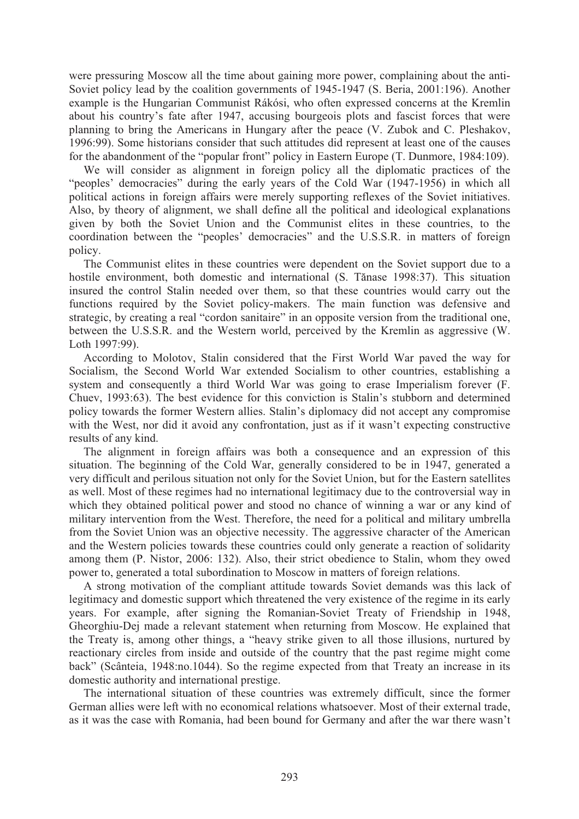were pressuring Moscow all the time about gaining more power, complaining about the anti-Soviet policy lead by the coalition governments of 1945-1947 (S. Beria, 2001:196). Another example is the Hungarian Communist Rákósi, who often expressed concerns at the Kremlin about his country's fate after 1947, accusing bourgeois plots and fascist forces that were planning to bring the Americans in Hungary after the peace (V. Zubok and C. Pleshakov, 1996:99). Some historians consider that such attitudes did represent at least one of the causes for the abandonment of the "popular front" policy in Eastern Europe (T. Dunmore, 1984:109).

 We will consider as alignment in foreign policy all the diplomatic practices of the "peoples' democracies" during the early years of the Cold War (1947-1956) in which all political actions in foreign affairs were merely supporting reflexes of the Soviet initiatives. Also, by theory of alignment, we shall define all the political and ideological explanations given by both the Soviet Union and the Communist elites in these countries, to the coordination between the "peoples' democracies" and the U.S.S.R. in matters of foreign policy.

 The Communist elites in these countries were dependent on the Soviet support due to a hostile environment, both domestic and international (S. Tănase 1998:37). This situation insured the control Stalin needed over them, so that these countries would carry out the functions required by the Soviet policy-makers. The main function was defensive and strategic, by creating a real "cordon sanitaire" in an opposite version from the traditional one, between the U.S.S.R. and the Western world, perceived by the Kremlin as aggressive (W. Loth 1997:99).

 According to Molotov, Stalin considered that the First World War paved the way for Socialism, the Second World War extended Socialism to other countries, establishing a system and consequently a third World War was going to erase Imperialism forever (F. Chuev, 1993:63). The best evidence for this conviction is Stalin's stubborn and determined policy towards the former Western allies. Stalin's diplomacy did not accept any compromise with the West, nor did it avoid any confrontation, just as if it wasn't expecting constructive results of any kind.

 The alignment in foreign affairs was both a consequence and an expression of this situation. The beginning of the Cold War, generally considered to be in 1947, generated a very difficult and perilous situation not only for the Soviet Union, but for the Eastern satellites as well. Most of these regimes had no international legitimacy due to the controversial way in which they obtained political power and stood no chance of winning a war or any kind of military intervention from the West. Therefore, the need for a political and military umbrella from the Soviet Union was an objective necessity. The aggressive character of the American and the Western policies towards these countries could only generate a reaction of solidarity among them (P. Nistor, 2006: 132). Also, their strict obedience to Stalin, whom they owed power to, generated a total subordination to Moscow in matters of foreign relations.

 A strong motivation of the compliant attitude towards Soviet demands was this lack of legitimacy and domestic support which threatened the very existence of the regime in its early years. For example, after signing the Romanian-Soviet Treaty of Friendship in 1948, Gheorghiu-Dej made a relevant statement when returning from Moscow. He explained that the Treaty is, among other things, a "heavy strike given to all those illusions, nurtured by reactionary circles from inside and outside of the country that the past regime might come back" (Scânteia, 1948:no.1044). So the regime expected from that Treaty an increase in its domestic authority and international prestige.

 The international situation of these countries was extremely difficult, since the former German allies were left with no economical relations whatsoever. Most of their external trade, as it was the case with Romania, had been bound for Germany and after the war there wasn't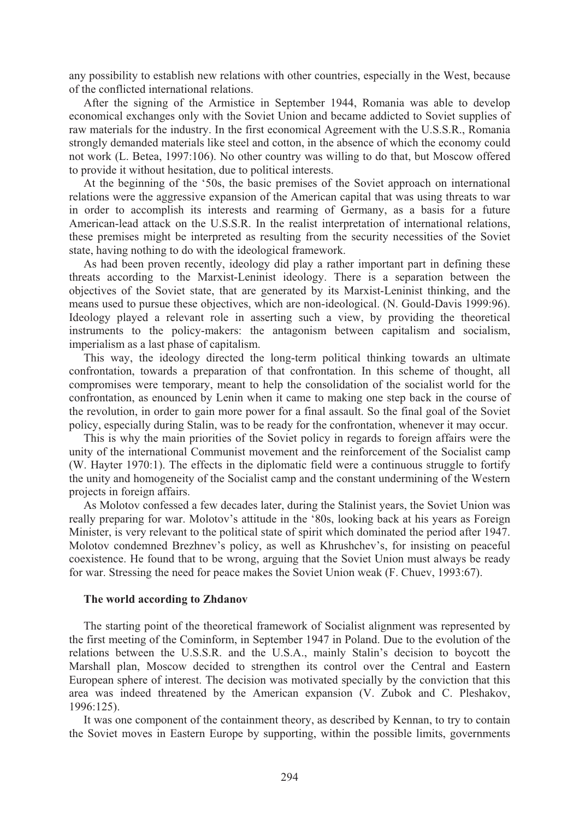any possibility to establish new relations with other countries, especially in the West, because of the conflicted international relations.

 After the signing of the Armistice in September 1944, Romania was able to develop economical exchanges only with the Soviet Union and became addicted to Soviet supplies of raw materials for the industry. In the first economical Agreement with the U.S.S.R., Romania strongly demanded materials like steel and cotton, in the absence of which the economy could not work (L. Betea, 1997:106). No other country was willing to do that, but Moscow offered to provide it without hesitation, due to political interests.

 At the beginning of the '50s, the basic premises of the Soviet approach on international relations were the aggressive expansion of the American capital that was using threats to war in order to accomplish its interests and rearming of Germany, as a basis for a future American-lead attack on the U.S.S.R. In the realist interpretation of international relations, these premises might be interpreted as resulting from the security necessities of the Soviet state, having nothing to do with the ideological framework.

 As had been proven recently, ideology did play a rather important part in defining these threats according to the Marxist-Leninist ideology. There is a separation between the objectives of the Soviet state, that are generated by its Marxist-Leninist thinking, and the means used to pursue these objectives, which are non-ideological. (N. Gould-Davis 1999:96). Ideology played a relevant role in asserting such a view, by providing the theoretical instruments to the policy-makers: the antagonism between capitalism and socialism, imperialism as a last phase of capitalism.

 This way, the ideology directed the long-term political thinking towards an ultimate confrontation, towards a preparation of that confrontation. In this scheme of thought, all compromises were temporary, meant to help the consolidation of the socialist world for the confrontation, as enounced by Lenin when it came to making one step back in the course of the revolution, in order to gain more power for a final assault. So the final goal of the Soviet policy, especially during Stalin, was to be ready for the confrontation, whenever it may occur.

 This is why the main priorities of the Soviet policy in regards to foreign affairs were the unity of the international Communist movement and the reinforcement of the Socialist camp (W. Hayter 1970:1). The effects in the diplomatic field were a continuous struggle to fortify the unity and homogeneity of the Socialist camp and the constant undermining of the Western projects in foreign affairs.

 As Molotov confessed a few decades later, during the Stalinist years, the Soviet Union was really preparing for war. Molotov's attitude in the '80s, looking back at his years as Foreign Minister, is very relevant to the political state of spirit which dominated the period after 1947. Molotov condemned Brezhnev's policy, as well as Khrushchev's, for insisting on peaceful coexistence. He found that to be wrong, arguing that the Soviet Union must always be ready for war. Stressing the need for peace makes the Soviet Union weak (F. Chuev, 1993:67).

## **The world according to Zhdanov**

 The starting point of the theoretical framework of Socialist alignment was represented by the first meeting of the Cominform, in September 1947 in Poland. Due to the evolution of the relations between the U.S.S.R. and the U.S.A., mainly Stalin's decision to boycott the Marshall plan, Moscow decided to strengthen its control over the Central and Eastern European sphere of interest. The decision was motivated specially by the conviction that this area was indeed threatened by the American expansion (V. Zubok and C. Pleshakov, 1996:125).

 It was one component of the containment theory, as described by Kennan, to try to contain the Soviet moves in Eastern Europe by supporting, within the possible limits, governments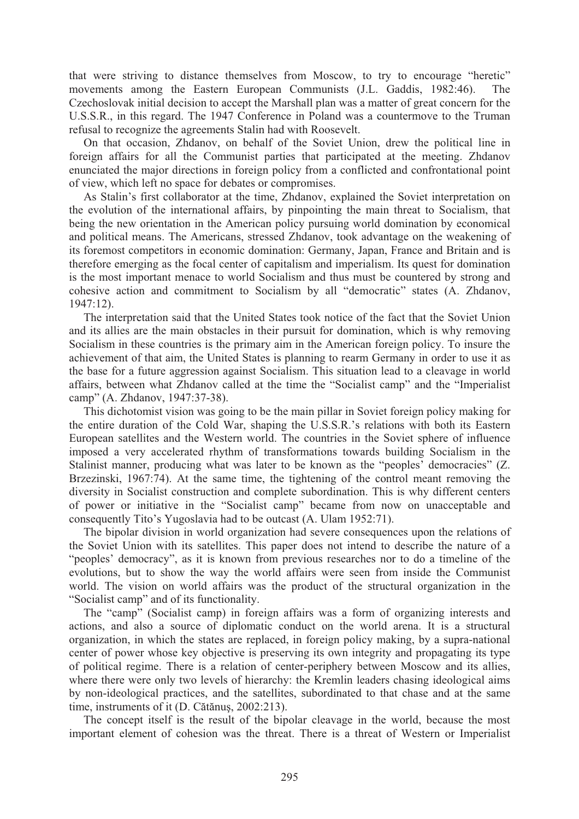that were striving to distance themselves from Moscow, to try to encourage "heretic" movements among the Eastern European Communists (J.L. Gaddis, 1982:46). The Czechoslovak initial decision to accept the Marshall plan was a matter of great concern for the U.S.S.R., in this regard. The 1947 Conference in Poland was a countermove to the Truman refusal to recognize the agreements Stalin had with Roosevelt.

 On that occasion, Zhdanov, on behalf of the Soviet Union, drew the political line in foreign affairs for all the Communist parties that participated at the meeting. Zhdanov enunciated the major directions in foreign policy from a conflicted and confrontational point of view, which left no space for debates or compromises.

 As Stalin's first collaborator at the time, Zhdanov, explained the Soviet interpretation on the evolution of the international affairs, by pinpointing the main threat to Socialism, that being the new orientation in the American policy pursuing world domination by economical and political means. The Americans, stressed Zhdanov, took advantage on the weakening of its foremost competitors in economic domination: Germany, Japan, France and Britain and is therefore emerging as the focal center of capitalism and imperialism. Its quest for domination is the most important menace to world Socialism and thus must be countered by strong and cohesive action and commitment to Socialism by all "democratic" states (A. Zhdanov, 1947:12).

 The interpretation said that the United States took notice of the fact that the Soviet Union and its allies are the main obstacles in their pursuit for domination, which is why removing Socialism in these countries is the primary aim in the American foreign policy. To insure the achievement of that aim, the United States is planning to rearm Germany in order to use it as the base for a future aggression against Socialism. This situation lead to a cleavage in world affairs, between what Zhdanov called at the time the "Socialist camp" and the "Imperialist camp" (A. Zhdanov, 1947:37-38).

 This dichotomist vision was going to be the main pillar in Soviet foreign policy making for the entire duration of the Cold War, shaping the U.S.S.R.'s relations with both its Eastern European satellites and the Western world. The countries in the Soviet sphere of influence imposed a very accelerated rhythm of transformations towards building Socialism in the Stalinist manner, producing what was later to be known as the "peoples' democracies" (Z. Brzezinski, 1967:74). At the same time, the tightening of the control meant removing the diversity in Socialist construction and complete subordination. This is why different centers of power or initiative in the "Socialist camp" became from now on unacceptable and consequently Tito's Yugoslavia had to be outcast (A. Ulam 1952:71).

 The bipolar division in world organization had severe consequences upon the relations of the Soviet Union with its satellites. This paper does not intend to describe the nature of a "peoples' democracy", as it is known from previous researches nor to do a timeline of the evolutions, but to show the way the world affairs were seen from inside the Communist world. The vision on world affairs was the product of the structural organization in the "Socialist camp" and of its functionality.

 The "camp" (Socialist camp) in foreign affairs was a form of organizing interests and actions, and also a source of diplomatic conduct on the world arena. It is a structural organization, in which the states are replaced, in foreign policy making, by a supra-national center of power whose key objective is preserving its own integrity and propagating its type of political regime. There is a relation of center-periphery between Moscow and its allies, where there were only two levels of hierarchy: the Kremlin leaders chasing ideological aims by non-ideological practices, and the satellites, subordinated to that chase and at the same time, instruments of it (D. Cătănuș, 2002:213).

 The concept itself is the result of the bipolar cleavage in the world, because the most important element of cohesion was the threat. There is a threat of Western or Imperialist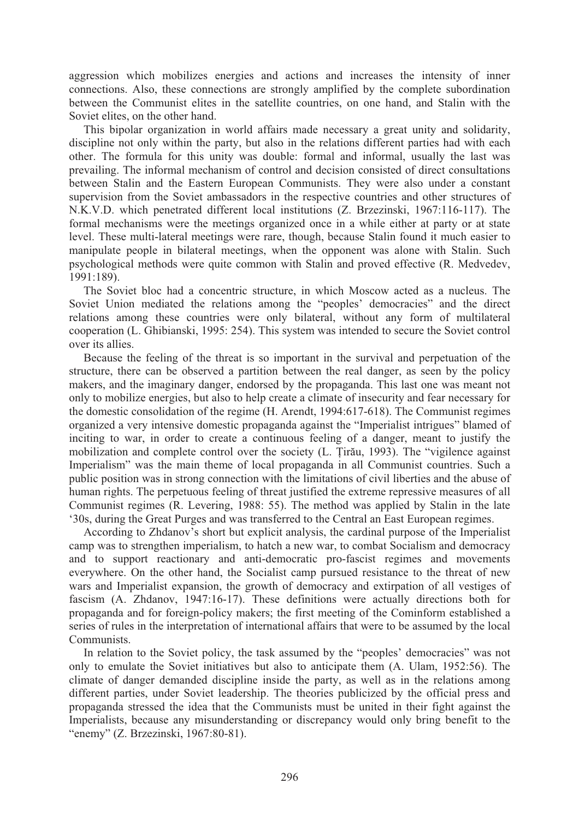aggression which mobilizes energies and actions and increases the intensity of inner connections. Also, these connections are strongly amplified by the complete subordination between the Communist elites in the satellite countries, on one hand, and Stalin with the Soviet elites, on the other hand.

 This bipolar organization in world affairs made necessary a great unity and solidarity, discipline not only within the party, but also in the relations different parties had with each other. The formula for this unity was double: formal and informal, usually the last was prevailing. The informal mechanism of control and decision consisted of direct consultations between Stalin and the Eastern European Communists. They were also under a constant supervision from the Soviet ambassadors in the respective countries and other structures of N.K.V.D. which penetrated different local institutions (Z. Brzezinski, 1967:116-117). The formal mechanisms were the meetings organized once in a while either at party or at state level. These multi-lateral meetings were rare, though, because Stalin found it much easier to manipulate people in bilateral meetings, when the opponent was alone with Stalin. Such psychological methods were quite common with Stalin and proved effective (R. Medvedev, 1991:189).

 The Soviet bloc had a concentric structure, in which Moscow acted as a nucleus. The Soviet Union mediated the relations among the "peoples' democracies" and the direct relations among these countries were only bilateral, without any form of multilateral cooperation (L. Ghibianski, 1995: 254). This system was intended to secure the Soviet control over its allies.

 Because the feeling of the threat is so important in the survival and perpetuation of the structure, there can be observed a partition between the real danger, as seen by the policy makers, and the imaginary danger, endorsed by the propaganda. This last one was meant not only to mobilize energies, but also to help create a climate of insecurity and fear necessary for the domestic consolidation of the regime (H. Arendt, 1994:617-618). The Communist regimes organized a very intensive domestic propaganda against the "Imperialist intrigues" blamed of inciting to war, in order to create a continuous feeling of a danger, meant to justify the mobilization and complete control over the society (L. Tirău, 1993). The "vigilence against Imperialism" was the main theme of local propaganda in all Communist countries. Such a public position was in strong connection with the limitations of civil liberties and the abuse of human rights. The perpetuous feeling of threat justified the extreme repressive measures of all Communist regimes (R. Levering, 1988: 55). The method was applied by Stalin in the late '30s, during the Great Purges and was transferred to the Central an East European regimes.

 According to Zhdanov's short but explicit analysis, the cardinal purpose of the Imperialist camp was to strengthen imperialism, to hatch a new war, to combat Socialism and democracy and to support reactionary and anti-democratic pro-fascist regimes and movements everywhere. On the other hand, the Socialist camp pursued resistance to the threat of new wars and Imperialist expansion, the growth of democracy and extirpation of all vestiges of fascism (A. Zhdanov, 1947:16-17). These definitions were actually directions both for propaganda and for foreign-policy makers; the first meeting of the Cominform established a series of rules in the interpretation of international affairs that were to be assumed by the local **Communists** 

In relation to the Soviet policy, the task assumed by the "peoples' democracies" was not only to emulate the Soviet initiatives but also to anticipate them (A. Ulam, 1952:56). The climate of danger demanded discipline inside the party, as well as in the relations among different parties, under Soviet leadership. The theories publicized by the official press and propaganda stressed the idea that the Communists must be united in their fight against the Imperialists, because any misunderstanding or discrepancy would only bring benefit to the "enemy" (Z. Brzezinski, 1967:80-81).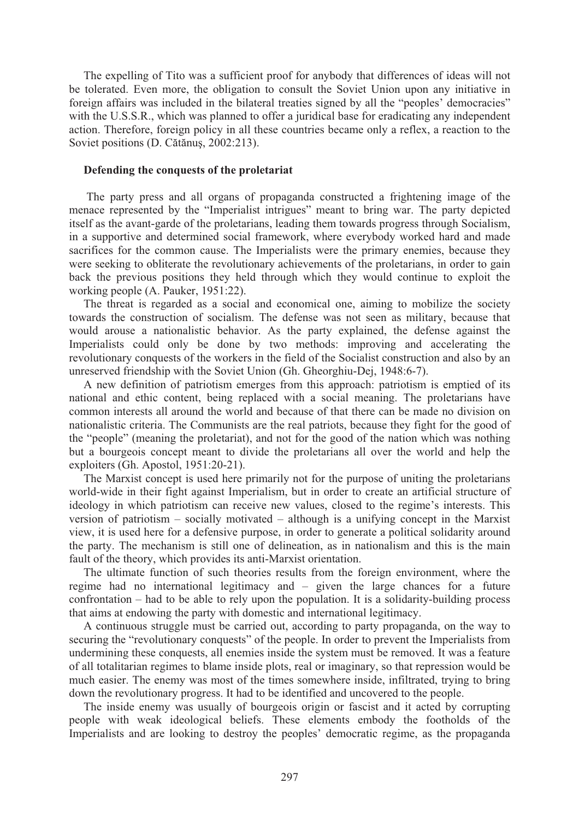The expelling of Tito was a sufficient proof for anybody that differences of ideas will not be tolerated. Even more, the obligation to consult the Soviet Union upon any initiative in foreign affairs was included in the bilateral treaties signed by all the "peoples' democracies" with the U.S.S.R., which was planned to offer a juridical base for eradicating any independent action. Therefore, foreign policy in all these countries became only a reflex, a reaction to the Soviet positions (D. Cătănus, 2002:213).

### **Defending the conquests of the proletariat**

 The party press and all organs of propaganda constructed a frightening image of the menace represented by the "Imperialist intrigues" meant to bring war. The party depicted itself as the avant-garde of the proletarians, leading them towards progress through Socialism, in a supportive and determined social framework, where everybody worked hard and made sacrifices for the common cause. The Imperialists were the primary enemies, because they were seeking to obliterate the revolutionary achievements of the proletarians, in order to gain back the previous positions they held through which they would continue to exploit the working people (A. Pauker, 1951:22).

 The threat is regarded as a social and economical one, aiming to mobilize the society towards the construction of socialism. The defense was not seen as military, because that would arouse a nationalistic behavior. As the party explained, the defense against the Imperialists could only be done by two methods: improving and accelerating the revolutionary conquests of the workers in the field of the Socialist construction and also by an unreserved friendship with the Soviet Union (Gh. Gheorghiu-Dej, 1948:6-7).

 A new definition of patriotism emerges from this approach: patriotism is emptied of its national and ethic content, being replaced with a social meaning. The proletarians have common interests all around the world and because of that there can be made no division on nationalistic criteria. The Communists are the real patriots, because they fight for the good of the "people" (meaning the proletariat), and not for the good of the nation which was nothing but a bourgeois concept meant to divide the proletarians all over the world and help the exploiters (Gh. Apostol, 1951:20-21).

 The Marxist concept is used here primarily not for the purpose of uniting the proletarians world-wide in their fight against Imperialism, but in order to create an artificial structure of ideology in which patriotism can receive new values, closed to the regime's interests. This version of patriotism – socially motivated – although is a unifying concept in the Marxist view, it is used here for a defensive purpose, in order to generate a political solidarity around the party. The mechanism is still one of delineation, as in nationalism and this is the main fault of the theory, which provides its anti-Marxist orientation.

 The ultimate function of such theories results from the foreign environment, where the regime had no international legitimacy and – given the large chances for a future confrontation – had to be able to rely upon the population. It is a solidarity-building process that aims at endowing the party with domestic and international legitimacy.

 A continuous struggle must be carried out, according to party propaganda, on the way to securing the "revolutionary conquests" of the people. In order to prevent the Imperialists from undermining these conquests, all enemies inside the system must be removed. It was a feature of all totalitarian regimes to blame inside plots, real or imaginary, so that repression would be much easier. The enemy was most of the times somewhere inside, infiltrated, trying to bring down the revolutionary progress. It had to be identified and uncovered to the people.

 The inside enemy was usually of bourgeois origin or fascist and it acted by corrupting people with weak ideological beliefs. These elements embody the footholds of the Imperialists and are looking to destroy the peoples' democratic regime, as the propaganda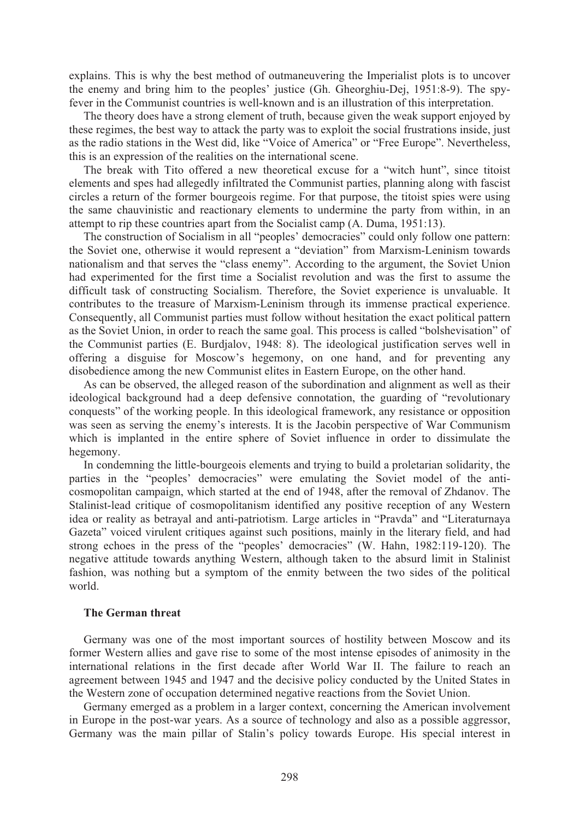explains. This is why the best method of outmaneuvering the Imperialist plots is to uncover the enemy and bring him to the peoples' justice (Gh. Gheorghiu-Dej, 1951:8-9). The spyfever in the Communist countries is well-known and is an illustration of this interpretation.

 The theory does have a strong element of truth, because given the weak support enjoyed by these regimes, the best way to attack the party was to exploit the social frustrations inside, just as the radio stations in the West did, like "Voice of America" or "Free Europe". Nevertheless, this is an expression of the realities on the international scene.

 The break with Tito offered a new theoretical excuse for a "witch hunt", since titoist elements and spes had allegedly infiltrated the Communist parties, planning along with fascist circles a return of the former bourgeois regime. For that purpose, the titoist spies were using the same chauvinistic and reactionary elements to undermine the party from within, in an attempt to rip these countries apart from the Socialist camp (A. Duma, 1951:13).

 The construction of Socialism in all "peoples' democracies" could only follow one pattern: the Soviet one, otherwise it would represent a "deviation" from Marxism-Leninism towards nationalism and that serves the "class enemy". According to the argument, the Soviet Union had experimented for the first time a Socialist revolution and was the first to assume the difficult task of constructing Socialism. Therefore, the Soviet experience is unvaluable. It contributes to the treasure of Marxism-Leninism through its immense practical experience. Consequently, all Communist parties must follow without hesitation the exact political pattern as the Soviet Union, in order to reach the same goal. This process is called "bolshevisation" of the Communist parties (E. Burdjalov, 1948: 8). The ideological justification serves well in offering a disguise for Moscow's hegemony, on one hand, and for preventing any disobedience among the new Communist elites in Eastern Europe, on the other hand.

 As can be observed, the alleged reason of the subordination and alignment as well as their ideological background had a deep defensive connotation, the guarding of "revolutionary conquests" of the working people. In this ideological framework, any resistance or opposition was seen as serving the enemy's interests. It is the Jacobin perspective of War Communism which is implanted in the entire sphere of Soviet influence in order to dissimulate the hegemony.

 In condemning the little-bourgeois elements and trying to build a proletarian solidarity, the parties in the "peoples' democracies" were emulating the Soviet model of the anticosmopolitan campaign, which started at the end of 1948, after the removal of Zhdanov. The Stalinist-lead critique of cosmopolitanism identified any positive reception of any Western idea or reality as betrayal and anti-patriotism. Large articles in "Pravda" and "Literaturnaya Gazeta" voiced virulent critiques against such positions, mainly in the literary field, and had strong echoes in the press of the "peoples' democracies" (W. Hahn, 1982:119-120). The negative attitude towards anything Western, although taken to the absurd limit in Stalinist fashion, was nothing but a symptom of the enmity between the two sides of the political world.

#### **The German threat**

Germany was one of the most important sources of hostility between Moscow and its former Western allies and gave rise to some of the most intense episodes of animosity in the international relations in the first decade after World War II. The failure to reach an agreement between 1945 and 1947 and the decisive policy conducted by the United States in the Western zone of occupation determined negative reactions from the Soviet Union.

 Germany emerged as a problem in a larger context, concerning the American involvement in Europe in the post-war years. As a source of technology and also as a possible aggressor, Germany was the main pillar of Stalin's policy towards Europe. His special interest in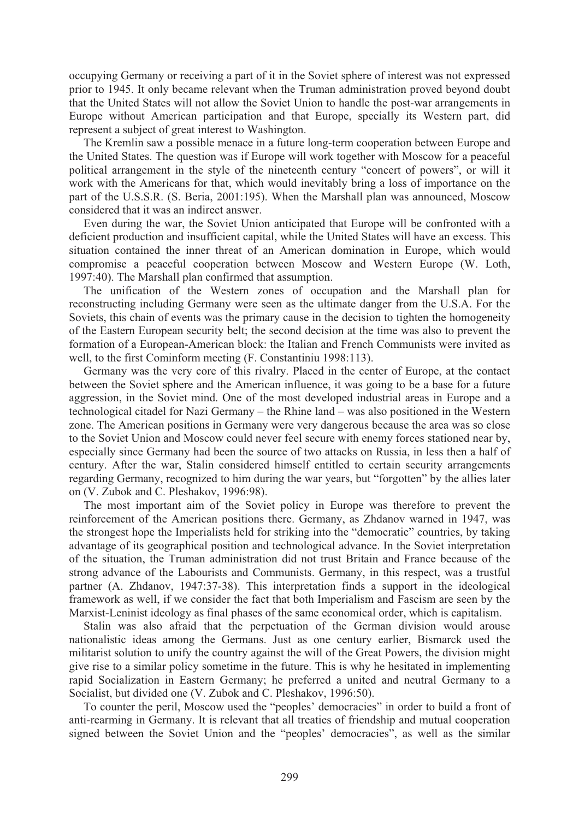occupying Germany or receiving a part of it in the Soviet sphere of interest was not expressed prior to 1945. It only became relevant when the Truman administration proved beyond doubt that the United States will not allow the Soviet Union to handle the post-war arrangements in Europe without American participation and that Europe, specially its Western part, did represent a subject of great interest to Washington.

 The Kremlin saw a possible menace in a future long-term cooperation between Europe and the United States. The question was if Europe will work together with Moscow for a peaceful political arrangement in the style of the nineteenth century "concert of powers", or will it work with the Americans for that, which would inevitably bring a loss of importance on the part of the U.S.S.R. (S. Beria, 2001:195). When the Marshall plan was announced, Moscow considered that it was an indirect answer.

 Even during the war, the Soviet Union anticipated that Europe will be confronted with a deficient production and insufficient capital, while the United States will have an excess. This situation contained the inner threat of an American domination in Europe, which would compromise a peaceful cooperation between Moscow and Western Europe (W. Loth, 1997:40). The Marshall plan confirmed that assumption.

 The unification of the Western zones of occupation and the Marshall plan for reconstructing including Germany were seen as the ultimate danger from the U.S.A. For the Soviets, this chain of events was the primary cause in the decision to tighten the homogeneity of the Eastern European security belt; the second decision at the time was also to prevent the formation of a European-American block: the Italian and French Communists were invited as well, to the first Cominform meeting (F. Constantiniu 1998:113).

 Germany was the very core of this rivalry. Placed in the center of Europe, at the contact between the Soviet sphere and the American influence, it was going to be a base for a future aggression, in the Soviet mind. One of the most developed industrial areas in Europe and a technological citadel for Nazi Germany – the Rhine land – was also positioned in the Western zone. The American positions in Germany were very dangerous because the area was so close to the Soviet Union and Moscow could never feel secure with enemy forces stationed near by, especially since Germany had been the source of two attacks on Russia, in less then a half of century. After the war, Stalin considered himself entitled to certain security arrangements regarding Germany, recognized to him during the war years, but "forgotten" by the allies later on (V. Zubok and C. Pleshakov, 1996:98).

 The most important aim of the Soviet policy in Europe was therefore to prevent the reinforcement of the American positions there. Germany, as Zhdanov warned in 1947, was the strongest hope the Imperialists held for striking into the "democratic" countries, by taking advantage of its geographical position and technological advance. In the Soviet interpretation of the situation, the Truman administration did not trust Britain and France because of the strong advance of the Labourists and Communists. Germany, in this respect, was a trustful partner (A. Zhdanov, 1947:37-38). This interpretation finds a support in the ideological framework as well, if we consider the fact that both Imperialism and Fascism are seen by the Marxist-Leninist ideology as final phases of the same economical order, which is capitalism.

 Stalin was also afraid that the perpetuation of the German division would arouse nationalistic ideas among the Germans. Just as one century earlier, Bismarck used the militarist solution to unify the country against the will of the Great Powers, the division might give rise to a similar policy sometime in the future. This is why he hesitated in implementing rapid Socialization in Eastern Germany; he preferred a united and neutral Germany to a Socialist, but divided one (V. Zubok and C. Pleshakov, 1996:50).

 To counter the peril, Moscow used the "peoples' democracies" in order to build a front of anti-rearming in Germany. It is relevant that all treaties of friendship and mutual cooperation signed between the Soviet Union and the "peoples' democracies", as well as the similar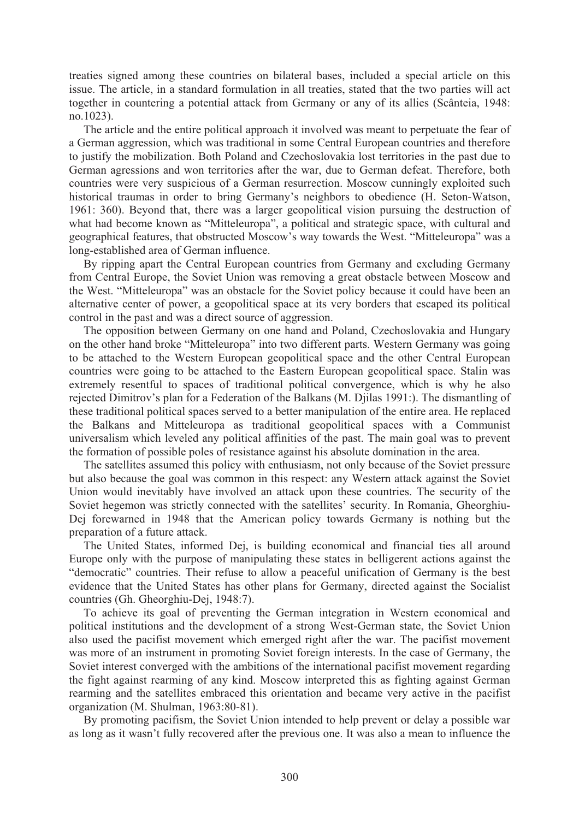treaties signed among these countries on bilateral bases, included a special article on this issue. The article, in a standard formulation in all treaties, stated that the two parties will act together in countering a potential attack from Germany or any of its allies (Scânteia, 1948: no.1023).

 The article and the entire political approach it involved was meant to perpetuate the fear of a German aggression, which was traditional in some Central European countries and therefore to justify the mobilization. Both Poland and Czechoslovakia lost territories in the past due to German agressions and won territories after the war, due to German defeat. Therefore, both countries were very suspicious of a German resurrection. Moscow cunningly exploited such historical traumas in order to bring Germany's neighbors to obedience (H. Seton-Watson, 1961: 360). Beyond that, there was a larger geopolitical vision pursuing the destruction of what had become known as "Mitteleuropa", a political and strategic space, with cultural and geographical features, that obstructed Moscow's way towards the West. "Mitteleuropa" was a long-established area of German influence.

 By ripping apart the Central European countries from Germany and excluding Germany from Central Europe, the Soviet Union was removing a great obstacle between Moscow and the West. "Mitteleuropa" was an obstacle for the Soviet policy because it could have been an alternative center of power, a geopolitical space at its very borders that escaped its political control in the past and was a direct source of aggression.

 The opposition between Germany on one hand and Poland, Czechoslovakia and Hungary on the other hand broke "Mitteleuropa" into two different parts. Western Germany was going to be attached to the Western European geopolitical space and the other Central European countries were going to be attached to the Eastern European geopolitical space. Stalin was extremely resentful to spaces of traditional political convergence, which is why he also rejected Dimitrov's plan for a Federation of the Balkans (M. Djilas 1991:). The dismantling of these traditional political spaces served to a better manipulation of the entire area. He replaced the Balkans and Mitteleuropa as traditional geopolitical spaces with a Communist universalism which leveled any political affinities of the past. The main goal was to prevent the formation of possible poles of resistance against his absolute domination in the area.

 The satellites assumed this policy with enthusiasm, not only because of the Soviet pressure but also because the goal was common in this respect: any Western attack against the Soviet Union would inevitably have involved an attack upon these countries. The security of the Soviet hegemon was strictly connected with the satellites' security. In Romania, Gheorghiu-Dej forewarned in 1948 that the American policy towards Germany is nothing but the preparation of a future attack.

 The United States, informed Dej, is building economical and financial ties all around Europe only with the purpose of manipulating these states in belligerent actions against the "democratic" countries. Their refuse to allow a peaceful unification of Germany is the best evidence that the United States has other plans for Germany, directed against the Socialist countries (Gh. Gheorghiu-Dej, 1948:7).

 To achieve its goal of preventing the German integration in Western economical and political institutions and the development of a strong West-German state, the Soviet Union also used the pacifist movement which emerged right after the war. The pacifist movement was more of an instrument in promoting Soviet foreign interests. In the case of Germany, the Soviet interest converged with the ambitions of the international pacifist movement regarding the fight against rearming of any kind. Moscow interpreted this as fighting against German rearming and the satellites embraced this orientation and became very active in the pacifist organization (M. Shulman, 1963:80-81).

 By promoting pacifism, the Soviet Union intended to help prevent or delay a possible war as long as it wasn't fully recovered after the previous one. It was also a mean to influence the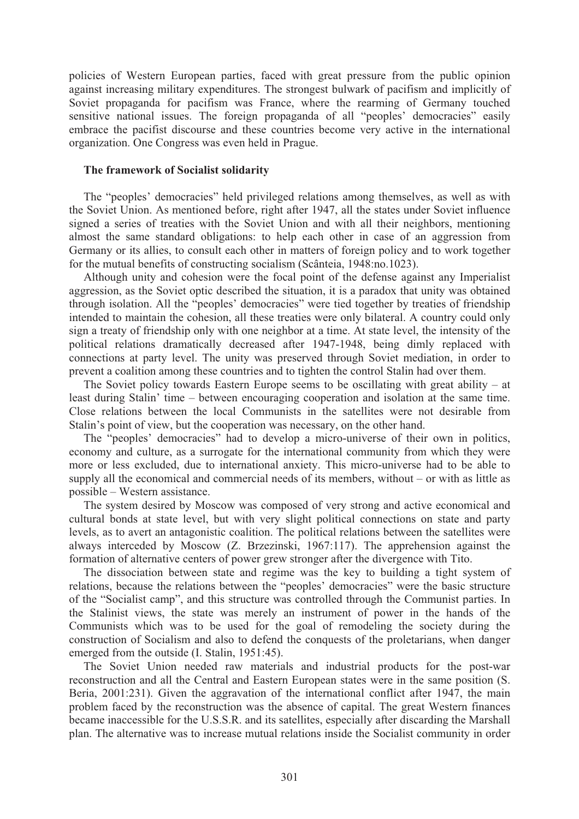policies of Western European parties, faced with great pressure from the public opinion against increasing military expenditures. The strongest bulwark of pacifism and implicitly of Soviet propaganda for pacifism was France, where the rearming of Germany touched sensitive national issues. The foreign propaganda of all "peoples' democracies" easily embrace the pacifist discourse and these countries become very active in the international organization. One Congress was even held in Prague.

# **The framework of Socialist solidarity**

The "peoples" democracies" held privileged relations among themselves, as well as with the Soviet Union. As mentioned before, right after 1947, all the states under Soviet influence signed a series of treaties with the Soviet Union and with all their neighbors, mentioning almost the same standard obligations: to help each other in case of an aggression from Germany or its allies, to consult each other in matters of foreign policy and to work together for the mutual benefits of constructing socialism (Scânteia, 1948:no.1023).

 Although unity and cohesion were the focal point of the defense against any Imperialist aggression, as the Soviet optic described the situation, it is a paradox that unity was obtained through isolation. All the "peoples' democracies" were tied together by treaties of friendship intended to maintain the cohesion, all these treaties were only bilateral. A country could only sign a treaty of friendship only with one neighbor at a time. At state level, the intensity of the political relations dramatically decreased after 1947-1948, being dimly replaced with connections at party level. The unity was preserved through Soviet mediation, in order to prevent a coalition among these countries and to tighten the control Stalin had over them.

The Soviet policy towards Eastern Europe seems to be oscillating with great ability – at least during Stalin' time – between encouraging cooperation and isolation at the same time. Close relations between the local Communists in the satellites were not desirable from Stalin's point of view, but the cooperation was necessary, on the other hand.

 The "peoples' democracies" had to develop a micro-universe of their own in politics, economy and culture, as a surrogate for the international community from which they were more or less excluded, due to international anxiety. This micro-universe had to be able to supply all the economical and commercial needs of its members, without – or with as little as possible – Western assistance.

 The system desired by Moscow was composed of very strong and active economical and cultural bonds at state level, but with very slight political connections on state and party levels, as to avert an antagonistic coalition. The political relations between the satellites were always interceded by Moscow (Z. Brzezinski, 1967:117). The apprehension against the formation of alternative centers of power grew stronger after the divergence with Tito.

 The dissociation between state and regime was the key to building a tight system of relations, because the relations between the "peoples' democracies" were the basic structure of the "Socialist camp", and this structure was controlled through the Communist parties. In the Stalinist views, the state was merely an instrument of power in the hands of the Communists which was to be used for the goal of remodeling the society during the construction of Socialism and also to defend the conquests of the proletarians, when danger emerged from the outside (I. Stalin, 1951:45).

 The Soviet Union needed raw materials and industrial products for the post-war reconstruction and all the Central and Eastern European states were in the same position (S. Beria, 2001:231). Given the aggravation of the international conflict after 1947, the main problem faced by the reconstruction was the absence of capital. The great Western finances became inaccessible for the U.S.S.R. and its satellites, especially after discarding the Marshall plan. The alternative was to increase mutual relations inside the Socialist community in order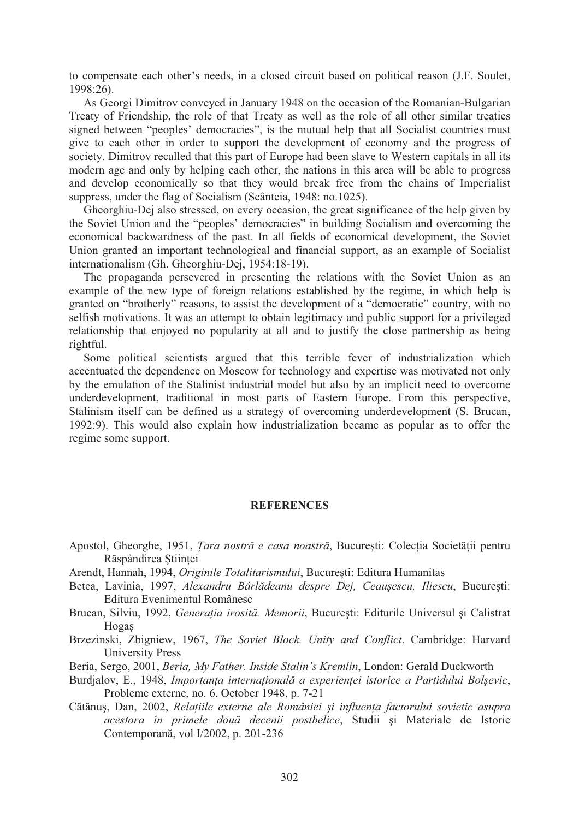to compensate each other's needs, in a closed circuit based on political reason (J.F. Soulet, 1998:26).

 As Georgi Dimitrov conveyed in January 1948 on the occasion of the Romanian-Bulgarian Treaty of Friendship, the role of that Treaty as well as the role of all other similar treaties signed between "peoples' democracies", is the mutual help that all Socialist countries must give to each other in order to support the development of economy and the progress of society. Dimitrov recalled that this part of Europe had been slave to Western capitals in all its modern age and only by helping each other, the nations in this area will be able to progress and develop economically so that they would break free from the chains of Imperialist suppress, under the flag of Socialism (Scânteia, 1948: no.1025).

 Gheorghiu-Dej also stressed, on every occasion, the great significance of the help given by the Soviet Union and the "peoples' democracies" in building Socialism and overcoming the economical backwardness of the past. In all fields of economical development, the Soviet Union granted an important technological and financial support, as an example of Socialist internationalism (Gh. Gheorghiu-Dej, 1954:18-19).

 The propaganda persevered in presenting the relations with the Soviet Union as an example of the new type of foreign relations established by the regime, in which help is granted on "brotherly" reasons, to assist the development of a "democratic" country, with no selfish motivations. It was an attempt to obtain legitimacy and public support for a privileged relationship that enjoyed no popularity at all and to justify the close partnership as being rightful.

 Some political scientists argued that this terrible fever of industrialization which accentuated the dependence on Moscow for technology and expertise was motivated not only by the emulation of the Stalinist industrial model but also by an implicit need to overcome underdevelopment, traditional in most parts of Eastern Europe. From this perspective, Stalinism itself can be defined as a strategy of overcoming underdevelopment (S. Brucan, 1992:9). This would also explain how industrialization became as popular as to offer the regime some support.

#### **REFERENCES**

- Apostol, Gheorghe, 1951, *Țara nostră e casa noastră*, București: Colectia Societătii pentru Răspândirea Stiintei
- Arendt, Hannah, 1994, *Originile Totalitarismului*, Bucuresti: Editura Humanitas
- Betea, Lavinia, 1997, Alexandru Bârlădeanu despre Dej, Ceaușescu, Iliescu, București: Editura Evenimentul Românesc
- Brucan, Silviu, 1992, *Generatia irosită, Memorii*, Bucuresti: Editurile Universul și Calistrat **Hogas**
- Brzezinski, Zbigniew, 1967, *The Soviet Block. Unity and Conflict*. Cambridge: Harvard University Press
- Beria, Sergo, 2001, *Beria, My Father. Inside Stalin's Kremlin*, London: Gerald Duckworth
- Burdjalov, E., 1948, *Importanța internațională a experienței istorice a Partidului Bolșevic,* Probleme externe, no. 6, October 1948, p. 7-21
- Cătănuș, Dan, 2002, *Relațiile externe ale României și influența factorului sovietic asupra acestora în primele dou! decenii postbelice*, Studii i Materiale de Istorie Contemporană, vol I/2002, p. 201-236